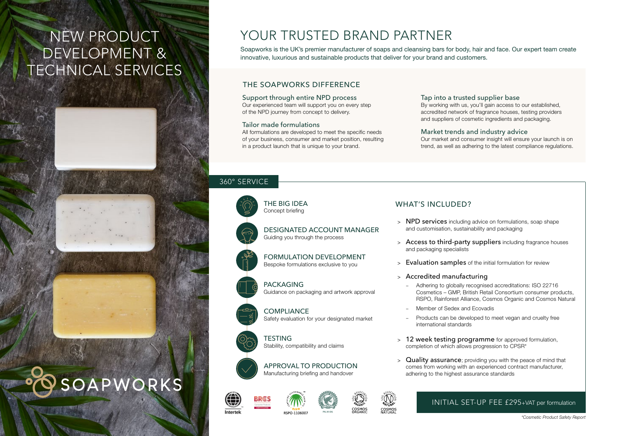# NEW PRODUCT DEVELOPMENT & TECHNICAL SERVICES







# YOUR TRUSTED BRAND PARTNER

Soapworks is the UK's premier manufacturer of soaps and cleansing bars for body, hair and face. Our expert team create innovative, luxurious and sustainable products that deliver for your brand and customers.

### THE SOAPWORKS DIFFERENCE

#### Support through entire NPD process

Our experienced team will support you on every step of the NPD journey from concept to delivery.

#### Tailor made formulations

All formulations are developed to meet the specific needs of your business, consumer and market position, resulting in a product launch that is unique to your brand.

#### Tap into a trusted supplier base

By working with us, you'll gain access to our established, accredited network of fragrance houses, testing providers and suppliers of cosmetic ingredients and packaging.

#### Market trends and industry advice

Our market and consumer insight will ensure your launch is on trend, as well as adhering to the latest compliance regulations.

#### 360° SERVICE



THE BIG IDEA Concept briefing

DESIGNATED ACCOUNT MANAGER Guiding you through the process

FORMULATION DEVELOPMENT Bespoke formulations exclusive to you

# PACKAGING

Guidance on packaging and artwork approval

**COMPLIANCE** Safety evaluation for your designated market

**TESTING** Stability, compatibility and claims



ntertel

APPROVAL TO PRODUCTION Manufacturing briefing and handover







COSMOS

### WHAT'S INCLUDED?

- > NPD services including advice on formulations, soap shape and customisation, sustainability and packaging
- > Access to third-party suppliers including fragrance houses and packaging specialists
- > Evaluation samples of the initial formulation for review
- > Accredited manufacturing
	- Adhering to globally recognised accreditations: ISO 22716 Cosmetics – GMP, British Retail Consortium consumer products, RSPO, Rainforest Alliance, Cosmos Organic and Cosmos Natural
	- Member of Sedex and Ecovadis
	- Products can be developed to meet vegan and cruelty free international standards
- > 12 week testing programme for approved formulation, completion of which allows progression to CPSR\*
- **Quality assurance**; providing you with the peace of mind that comes from working with an experienced contract manufacturer, adhering to the highest assurance standards

### INITIAL SET-UP FEE £295+VAT per formulation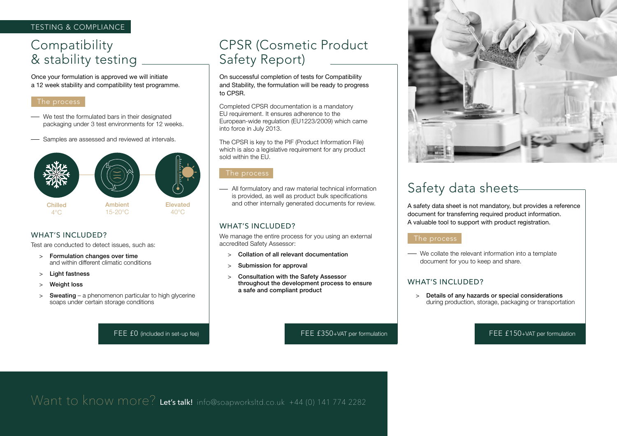### TESTING & COMPLIANCE

# **Compatibility** & stability testing

Once your formulation is approved we will initiate a 12 week stability and compatibility test programme.

#### The process

- We test the formulated bars in their designated packaging under 3 test environments for 12 weeks.
- Samples are assessed and reviewed at intervals.





Ambient 15-20°C



Chilled

 $4^{\circ}$ C

Elevated 40°C

### WHAT'S INCLUDED?

Test are conducted to detect issues, such as:

- > Formulation changes over time and within different climatic conditions
- > Light fastness
- > Weight loss
- $>$  Sweating a phenomenon particular to high glycerine soaps under certain storage conditions

# CPSR (Cosmetic Product Safety Report)

On successful completion of tests for Compatibility and Stability, the formulation will be ready to progress to CPSR.

Completed CPSR documentation is a mandatory EU requirement. It ensures adherence to the European-wide regulation (EU1223/2009) which came into force in July 2013.

The CPSR is key to the PIF (Product Information File) which is also a legislative requirement for any product sold within the EU.

#### The process

All formulatory and raw material technical information is provided, as well as product bulk specifications and other internally generated documents for review.

### WHAT'S INCLUDED?

We manage the entire process for you using an external accredited Safety Assessor:

- > Collation of all relevant documentation
- > Submission for approval
- > Consultation with the Safety Assessor throughout the development process to ensure a safe and compliant product

# Safety data sheets

A safety data sheet is not mandatory, but provides a reference document for transferring required product information. A valuable tool to support with product registration.

#### The process

We collate the relevant information into a template document for you to keep and share.

### WHAT'S INCLUDED?

> Details of any hazards or special considerations during production, storage, packaging or transportation

FEE £0 (included in set-up fee) FEE E350+VAT per formulation FEE E150+VAT per formulation FEE £150+VAT per formulation

Want to know more? Let's talk! [info@soapworksltd.co.uk](mailto:info%40soapworksltd.co.uk?subject=Let%27s%20talk%20about%20new%20soaps%2C%20bar%20shampoos%20or%20facial%20bars) +44 (0) 141 774 2282